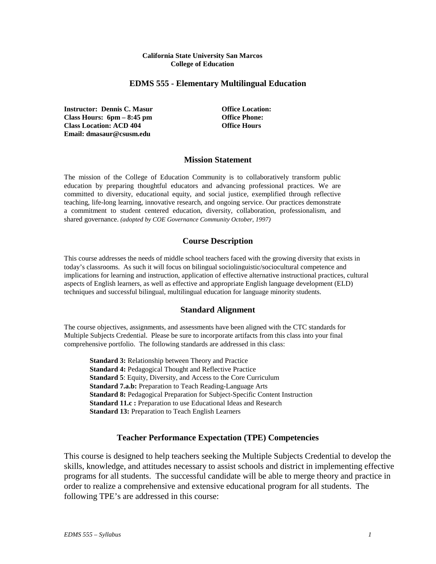#### **California State University San Marcos College of Education**

### **EDMS 555 - Elementary Multilingual Education**

**Instructor: Dennis C. Masur Office Location: Class Hours: 6pm – 8:45 pm Office Phone: Class Location: ACD 404 Office Hours Email: dmasaur@csusm.edu**

### **Mission Statement**

The mission of the College of Education Community is to collaboratively transform public education by preparing thoughtful educators and advancing professional practices. We are committed to diversity, educational equity, and social justice, exemplified through reflective teaching, life-long learning, innovative research, and ongoing service. Our practices demonstrate a commitment to student centered education, diversity, collaboration, professionalism, and shared governance. *(adopted by COE Governance Community October, 1997)*

## **Course Description**

This course addresses the needs of middle school teachers faced with the growing diversity that exists in today's classrooms. As such it will focus on bilingual sociolinguistic/sociocultural competence and implications for learning and instruction, application of effective alternative instructional practices, cultural aspects of English learners, as well as effective and appropriate English language development (ELD) techniques and successful bilingual, multilingual education for language minority students.

## **Standard Alignment**

The course objectives, assignments, and assessments have been aligned with the CTC standards for Multiple Subjects Credential. Please be sure to incorporate artifacts from this class into your final comprehensive portfolio. The following standards are addressed in this class:

**Standard 3:** Relationship between Theory and Practice **Standard 4:** Pedagogical Thought and Reflective Practice **Standard 5**: Equity, Diversity, and Access to the Core Curriculum **Standard 7.a.b:** Preparation to Teach Reading-Language Arts **Standard 8:** Pedagogical Preparation for Subject-Specific Content Instruction **Standard 11.c :** Preparation to use Educational Ideas and Research **Standard 13:** Preparation to Teach English Learners

## **Teacher Performance Expectation (TPE) Competencies**

This course is designed to help teachers seeking the Multiple Subjects Credential to develop the skills, knowledge, and attitudes necessary to assist schools and district in implementing effective programs for all students. The successful candidate will be able to merge theory and practice in order to realize a comprehensive and extensive educational program for all students. The following TPE's are addressed in this course: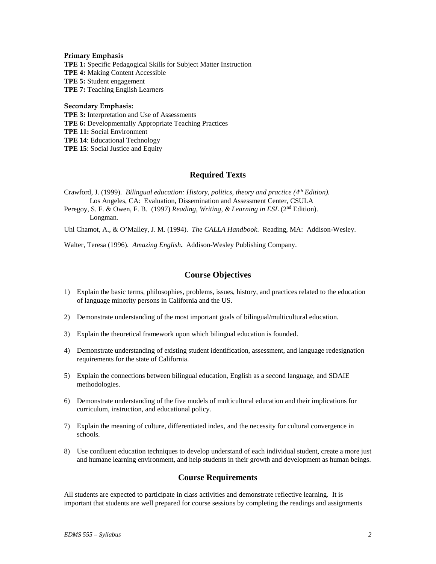#### **Primary Emphasis**

**TPE 1:** Specific Pedagogical Skills for Subject Matter Instruction **TPE 4:** Making Content Accessible **TPE 5:** Student engagement **TPE 7:** Teaching English Learners

#### **Secondary Emphasis:**

**TPE 3:** Interpretation and Use of Assessments **TPE 6:** Developmentally Appropriate Teaching Practices **TPE 11:** Social Environment **TPE 14**: Educational Technology **TPE 15**: Social Justice and Equity

### **Required Texts**

Crawford, J. (1999). *Bilingual education: History, politics, theory and practice (4<sup>th</sup> Edition).* Los Angeles, CA: Evaluation, Dissemination and Assessment Center, CSULA

Peregoy, S. F. & Owen, F. B. (1997) *Reading, Writing, & Learning in ESL* (2<sup>nd</sup> Edition). Longman.

Uhl Chamot, A., & O'Malley, J. M. (1994). *The CALLA Handbook*. Reading, MA: Addison-Wesley.

Walter, Teresa (1996). *Amazing English***.** Addison-Wesley Publishing Company.

### **Course Objectives**

- 1) Explain the basic terms, philosophies, problems, issues, history, and practices related to the education of language minority persons in California and the US.
- 2) Demonstrate understanding of the most important goals of bilingual/multicultural education.
- 3) Explain the theoretical framework upon which bilingual education is founded.
- 4) Demonstrate understanding of existing student identification, assessment, and language redesignation requirements for the state of California.
- 5) Explain the connections between bilingual education, English as a second language, and SDAIE methodologies.
- 6) Demonstrate understanding of the five models of multicultural education and their implications for curriculum, instruction, and educational policy.
- 7) Explain the meaning of culture, differentiated index, and the necessity for cultural convergence in schools.
- 8) Use confluent education techniques to develop understand of each individual student, create a more just and humane learning environment, and help students in their growth and development as human beings.

#### **Course Requirements**

All students are expected to participate in class activities and demonstrate reflective learning. It is important that students are well prepared for course sessions by completing the readings and assignments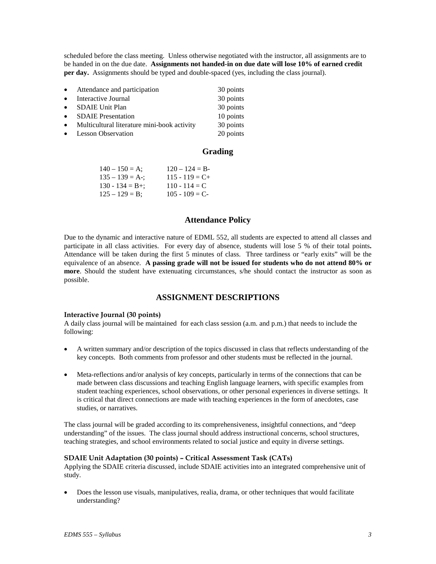scheduled before the class meeting. Unless otherwise negotiated with the instructor, all assignments are to be handed in on the due date. **Assignments not handed-in on due date will lose 10% of earned credit per day.** Assignments should be typed and double-spaced (yes, including the class journal).

| $\bullet$ | Attendance and participation                  | 30 points |
|-----------|-----------------------------------------------|-----------|
| $\bullet$ | Interactive Journal                           | 30 points |
|           | • SDAIE Unit Plan                             | 30 points |
|           | • SDAIE Presentation                          | 10 points |
|           | • Multicultural literature mini-book activity | 30 points |
|           | • Lesson Observation                          | 20 points |

## **Grading**

| $140 - 150 = A$ ;   | $120 - 124 = B$   |
|---------------------|-------------------|
| $135 - 139 = A$ -;  | $115 - 119 = C +$ |
| $130 - 134 = B +$ ; | $110 - 114 = C$   |
| $125 - 129 = B$ ;   | $105 - 109 = C$   |

## **Attendance Policy**

Due to the dynamic and interactive nature of EDML 552, all students are expected to attend all classes and participate in all class activities. For every day of absence, students will lose 5 % of their total points**.**  Attendance will be taken during the first 5 minutes of class. Three tardiness or "early exits" will be the equivalence of an absence. **A passing grade will not be issued for students who do not attend 80% or more**. Should the student have extenuating circumstances, s/he should contact the instructor as soon as possible.

## **ASSIGNMENT DESCRIPTIONS**

#### **Interactive Journal (30 points)**

A daily class journal will be maintained for each class session (a.m. and p.m.) that needs to include the following:

- A written summary and/or description of the topics discussed in class that reflects understanding of the key concepts. Both comments from professor and other students must be reflected in the journal.
- Meta-reflections and/or analysis of key concepts, particularly in terms of the connections that can be made between class discussions and teaching English language learners, with specific examples from student teaching experiences, school observations, or other personal experiences in diverse settings. It is critical that direct connections are made with teaching experiences in the form of anecdotes, case studies, or narratives.

The class journal will be graded according to its comprehensiveness, insightful connections, and "deep understanding" of the issues. The class journal should address instructional concerns, school structures, teaching strategies, and school environments related to social justice and equity in diverse settings.

#### **SDAIE Unit Adaptation (30 points) – Critical Assessment Task (CATs)**

Applying the SDAIE criteria discussed, include SDAIE activities into an integrated comprehensive unit of study.

• Does the lesson use visuals, manipulatives, realia, drama, or other techniques that would facilitate understanding?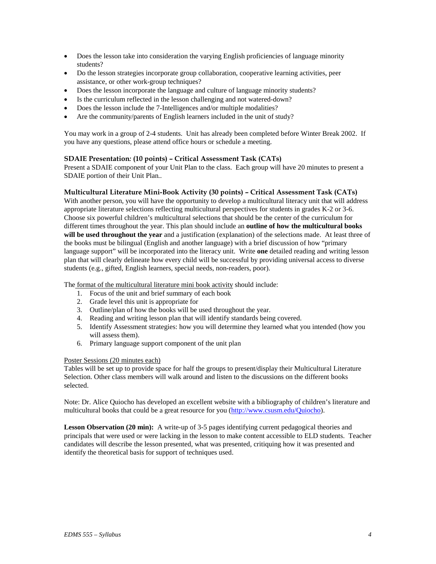- Does the lesson take into consideration the varying English proficiencies of language minority students?
- Do the lesson strategies incorporate group collaboration, cooperative learning activities, peer assistance, or other work-group techniques?
- Does the lesson incorporate the language and culture of language minority students?
- Is the curriculum reflected in the lesson challenging and not watered-down?
- Does the lesson include the 7-Intelligences and/or multiple modalities?
- Are the community/parents of English learners included in the unit of study?

You may work in a group of 2-4 students. Unit has already been completed before Winter Break 2002. If you have any questions, please attend office hours or schedule a meeting.

#### **SDAIE Presentation***:* **(10 points) – Critical Assessment Task (CATs)**

Present a SDAIE component of your Unit Plan to the class. Each group will have 20 minutes to present a SDAIE portion of their Unit Plan*..*

#### **Multicultural Literature Mini-Book Activity (30 points) – Critical Assessment Task (CATs)**

With another person, you will have the opportunity to develop a multicultural literacy unit that will address appropriate literature selections reflecting multicultural perspectives for students in grades K-2 or 3-6. Choose six powerful children's multicultural selections that should be the center of the curriculum for different times throughout the year. This plan should include an **outline of how the multicultural books will be used throughout the year** and a justification (explanation) of the selections made. At least three of the books must be bilingual (English and another language) with a brief discussion of how "primary language support" will be incorporated into the literacy unit. Write **one** detailed reading and writing lesson plan that will clearly delineate how every child will be successful by providing universal access to diverse students (e.g., gifted, English learners, special needs, non-readers, poor).

The format of the multicultural literature mini book activity should include:

- 1. Focus of the unit and brief summary of each book
- 2. Grade level this unit is appropriate for
- 3. Outline/plan of how the books will be used throughout the year.
- 4. Reading and writing lesson plan that will identify standards being covered.
- 5. Identify Assessment strategies: how you will determine they learned what you intended (how you will assess them).
- 6. Primary language support component of the unit plan

#### Poster Sessions (20 minutes each)

Tables will be set up to provide space for half the groups to present/display their Multicultural Literature Selection. Other class members will walk around and listen to the discussions on the different books selected.

Note: Dr. Alice Quiocho has developed an excellent website with a bibliography of children's literature and multicultural books that could be a great resource for you [\(http://www.csusm.edu/Quiocho\)](http://www.csusm.edu/Quiocho).

**Lesson Observation (20 min):** A write-up of 3-5 pages identifying current pedagogical theories and principals that were used or were lacking in the lesson to make content accessible to ELD students. Teacher candidates will describe the lesson presented, what was presented, critiquing how it was presented and identify the theoretical basis for support of techniques used.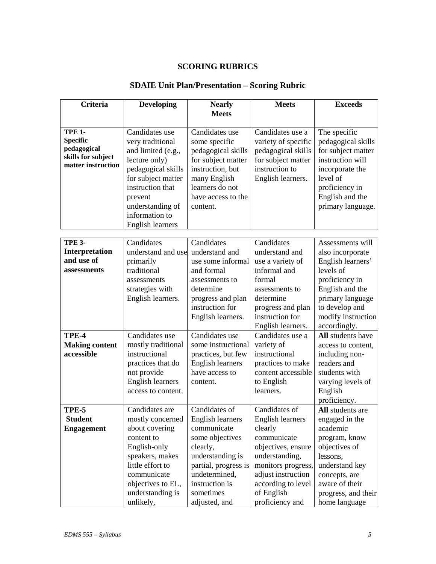## **SCORING RUBRICS**

# **SDAIE Unit Plan/Presentation – Scoring Rubric**

| Criteria                                                                                    | <b>Developing</b>                                                                                                                                                                                              | <b>Nearly</b>                                                                                                                                                                                | <b>Meets</b>                                                                                                                                                                                           | <b>Exceeds</b>                                                                                                                                                                            |
|---------------------------------------------------------------------------------------------|----------------------------------------------------------------------------------------------------------------------------------------------------------------------------------------------------------------|----------------------------------------------------------------------------------------------------------------------------------------------------------------------------------------------|--------------------------------------------------------------------------------------------------------------------------------------------------------------------------------------------------------|-------------------------------------------------------------------------------------------------------------------------------------------------------------------------------------------|
|                                                                                             |                                                                                                                                                                                                                | <b>Meets</b>                                                                                                                                                                                 |                                                                                                                                                                                                        |                                                                                                                                                                                           |
| <b>TPE 1-</b><br><b>Specific</b><br>pedagogical<br>skills for subject<br>matter instruction | Candidates use<br>very traditional<br>and limited (e.g.,<br>lecture only)<br>pedagogical skills<br>for subject matter<br>instruction that<br>prevent<br>understanding of<br>information to<br>English learners | Candidates use<br>some specific<br>pedagogical skills<br>for subject matter<br>instruction, but<br>many English<br>learners do not<br>have access to the<br>content.                         | Candidates use a<br>variety of specific<br>pedagogical skills<br>for subject matter<br>instruction to<br>English learners.                                                                             | The specific<br>pedagogical skills<br>for subject matter<br>instruction will<br>incorporate the<br>level of<br>proficiency in<br>English and the<br>primary language.                     |
| <b>TPE 3-</b><br>Interpretation<br>and use of<br>assessments                                | Candidates<br>understand and use<br>primarily<br>traditional<br>assessments<br>strategies with<br>English learners.                                                                                            | Candidates<br>understand and<br>use some informal<br>and formal<br>assessments to<br>determine<br>progress and plan<br>instruction for<br>English learners.                                  | Candidates<br>understand and<br>use a variety of<br>informal and<br>formal<br>assessments to<br>determine<br>progress and plan<br>instruction for<br>English learners.                                 | Assessments will<br>also incorporate<br>English learners'<br>levels of<br>proficiency in<br>English and the<br>primary language<br>to develop and<br>modify instruction<br>accordingly.   |
| TPE-4<br><b>Making content</b><br>accessible                                                | Candidates use<br>mostly traditional<br>instructional<br>practices that do<br>not provide<br><b>English learners</b><br>access to content.                                                                     | Candidates use<br>some instructional<br>practices, but few<br><b>English learners</b><br>have access to<br>content.                                                                          | Candidates use a<br>variety of<br>instructional<br>practices to make<br>content accessible<br>to English<br>learners.                                                                                  | All students have<br>access to content,<br>including non-<br>readers and<br>students with<br>varying levels of<br>English<br>proficiency.                                                 |
| TPE-5<br><b>Student</b><br><b>Engagement</b>                                                | Candidates are<br>mostly concerned<br>about covering<br>content to<br>English-only<br>speakers, makes<br>little effort to<br>communicate<br>objectives to EL,<br>understanding is<br>unlikely,                 | Candidates of<br>English learners<br>communicate<br>some objectives<br>clearly,<br>understanding is<br>partial, progress is<br>undetermined,<br>instruction is<br>sometimes<br>adjusted, and | Candidates of<br>English learners<br>clearly<br>communicate<br>objectives, ensure<br>understanding,<br>monitors progress,<br>adjust instruction<br>according to level<br>of English<br>proficiency and | All students are<br>engaged in the<br>academic<br>program, know<br>objectives of<br>lessons,<br>understand key<br>concepts, are<br>aware of their<br>progress, and their<br>home language |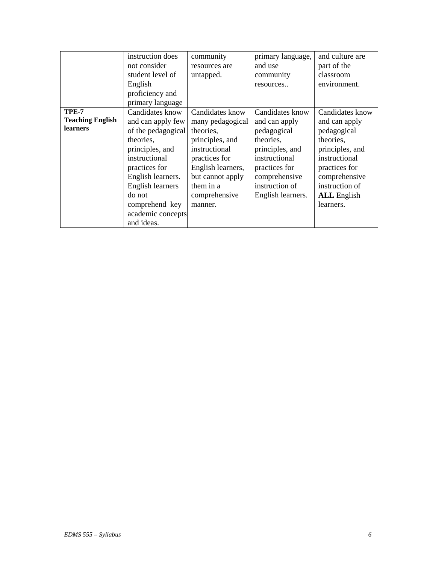|                                                     | instruction does<br>not consider<br>student level of<br>English<br>proficiency and<br>primary language                                                                                                                               | community<br>resources are<br>untapped.                                                                                                                                                 | primary language,<br>and use<br>community<br>resources                                                                                                                    | and culture are<br>part of the<br>classroom<br>environment.                                                                                                                             |
|-----------------------------------------------------|--------------------------------------------------------------------------------------------------------------------------------------------------------------------------------------------------------------------------------------|-----------------------------------------------------------------------------------------------------------------------------------------------------------------------------------------|---------------------------------------------------------------------------------------------------------------------------------------------------------------------------|-----------------------------------------------------------------------------------------------------------------------------------------------------------------------------------------|
| TPE-7<br><b>Teaching English</b><br><b>learners</b> | Candidates know<br>and can apply few<br>of the pedagogical<br>theories,<br>principles, and<br>instructional<br>practices for<br>English learners.<br>English learners<br>do not<br>comprehend key<br>academic concepts<br>and ideas. | Candidates know<br>many pedagogical<br>theories,<br>principles, and<br>instructional<br>practices for<br>English learners,<br>but cannot apply<br>them in a<br>comprehensive<br>manner. | Candidates know<br>and can apply<br>pedagogical<br>theories,<br>principles, and<br>instructional<br>practices for<br>comprehensive<br>instruction of<br>English learners. | Candidates know<br>and can apply<br>pedagogical<br>theories,<br>principles, and<br>instructional<br>practices for<br>comprehensive<br>instruction of<br><b>ALL</b> English<br>learners. |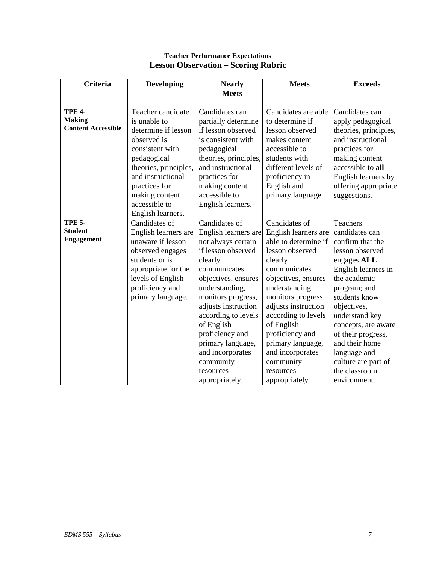## **Teacher Performance Expectations Lesson Observation – Scoring Rubric**

| Criteria                            | <b>Developing</b>     | <b>Nearly</b><br><b>Meets</b>        | <b>Meets</b>                         | <b>Exceeds</b>                       |
|-------------------------------------|-----------------------|--------------------------------------|--------------------------------------|--------------------------------------|
|                                     |                       |                                      |                                      |                                      |
| <b>TPE 4-</b>                       | Teacher candidate     | Candidates can                       | Candidates are able                  | Candidates can                       |
| <b>Making</b>                       | is unable to          | partially determine                  | to determine if                      | apply pedagogical                    |
| <b>Content Accessible</b>           | determine if lesson   | if lesson observed                   | lesson observed                      | theories, principles,                |
|                                     | observed is           | is consistent with                   | makes content                        | and instructional                    |
|                                     | consistent with       | pedagogical                          | accessible to                        | practices for                        |
|                                     | pedagogical           | theories, principles,                | students with                        | making content                       |
|                                     | theories, principles, | and instructional                    | different levels of                  | accessible to all                    |
|                                     | and instructional     | practices for                        | proficiency in                       | English learners by                  |
|                                     | practices for         | making content                       | English and                          | offering appropriate                 |
|                                     | making content        | accessible to                        | primary language.                    | suggestions.                         |
|                                     | accessible to         | English learners.                    |                                      |                                      |
|                                     | English learners.     |                                      |                                      |                                      |
| <b>TPE 5-</b>                       | Candidates of         | Candidates of                        | Candidates of                        | <b>Teachers</b>                      |
| <b>Student</b><br><b>Engagement</b> | English learners are  | English learners are                 | English learners are                 | candidates can                       |
|                                     | unaware if lesson     | not always certain                   | able to determine if                 | confirm that the                     |
|                                     | observed engages      | if lesson observed                   | lesson observed                      | lesson observed                      |
|                                     | students or is        | clearly                              | clearly                              | engages ALL                          |
|                                     | appropriate for the   | communicates                         | communicates                         | English learners in                  |
|                                     | levels of English     | objectives, ensures                  | objectives, ensures                  | the academic                         |
|                                     | proficiency and       | understanding,                       | understanding,                       | program; and                         |
|                                     | primary language.     | monitors progress,                   | monitors progress,                   | students know                        |
|                                     |                       | adjusts instruction                  | adjusts instruction                  | objectives,                          |
|                                     |                       | according to levels                  | according to levels                  | understand key                       |
|                                     |                       | of English                           | of English                           | concepts, are aware                  |
|                                     |                       | proficiency and<br>primary language, | proficiency and<br>primary language, | of their progress,<br>and their home |
|                                     |                       | and incorporates                     | and incorporates                     | language and                         |
|                                     |                       | community                            | community                            | culture are part of                  |
|                                     |                       | resources                            | resources                            | the classroom                        |
|                                     |                       | appropriately.                       | appropriately.                       | environment.                         |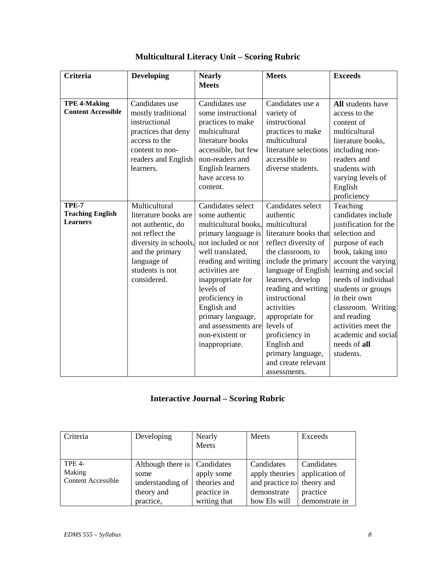| Criteria                                            | Developing                                                                                                                                                                 | <b>Nearly</b><br><b>Meets</b>                                                                                                                                                                                                                                                                                              | <b>Meets</b>                                                                                                                                                                                                                                                                                                                                                                | <b>Exceeds</b>                                                                                                                                                                                                                                                                                                                              |
|-----------------------------------------------------|----------------------------------------------------------------------------------------------------------------------------------------------------------------------------|----------------------------------------------------------------------------------------------------------------------------------------------------------------------------------------------------------------------------------------------------------------------------------------------------------------------------|-----------------------------------------------------------------------------------------------------------------------------------------------------------------------------------------------------------------------------------------------------------------------------------------------------------------------------------------------------------------------------|---------------------------------------------------------------------------------------------------------------------------------------------------------------------------------------------------------------------------------------------------------------------------------------------------------------------------------------------|
| <b>TPE 4-Making</b><br><b>Content Accessible</b>    | Candidates use<br>mostly traditional<br>instructional<br>practices that deny<br>access to the<br>content to non-<br>readers and English<br>learners.                       | Candidates use<br>some instructional<br>practices to make<br>multicultural<br>literature books<br>accessible, but few<br>non-readers and<br><b>English learners</b><br>have access to<br>content.                                                                                                                          | Candidates use a<br>variety of<br>instructional<br>practices to make<br>multicultural<br>literature selections<br>accessible to<br>diverse students.                                                                                                                                                                                                                        | All students have<br>access to the<br>content of<br>multicultural<br>literature books,<br>including non-<br>readers and<br>students with<br>varying levels of<br>English<br>proficiency                                                                                                                                                     |
| TPE-7<br><b>Teaching English</b><br><b>Learners</b> | Multicultural<br>literature books are<br>not authentic, do<br>not reflect the<br>diversity in schools,<br>and the primary<br>language of<br>students is not<br>considered. | Candidates select<br>some authentic<br>multicultural books,<br>primary language is<br>not included or not<br>well translated,<br>reading and writing<br>activities are<br>inappropriate for<br>levels of<br>proficiency in<br>English and<br>primary language,<br>and assessments are<br>non-existent or<br>inappropriate. | Candidates select<br>authentic<br>multicultural<br>literature books that<br>reflect diversity of<br>the classroom, to<br>include the primary<br>language of English<br>learners, develop<br>reading and writing<br>instructional<br>activities<br>appropriate for<br>levels of<br>proficiency in<br>English and<br>primary language,<br>and create relevant<br>assessments. | Teaching<br>candidates include<br>justification for the<br>selection and<br>purpose of each<br>book, taking into<br>account the varying<br>learning and social<br>needs of individual<br>students or groups<br>in their own<br>classroom. Writing<br>and reading<br>activities meet the<br>academic and social<br>needs of all<br>students. |

# **Multicultural Literacy Unit – Scoring Rubric**

# **Interactive Journal – Scoring Rubric**

| Criteria                                             | Developing                                                                            | Nearly<br>Meets                                           | Meets                                                                                     | Exceeds                                                    |
|------------------------------------------------------|---------------------------------------------------------------------------------------|-----------------------------------------------------------|-------------------------------------------------------------------------------------------|------------------------------------------------------------|
| <b>TPE 4-</b><br>Making<br><b>Content Accessible</b> | Although there is   Candidates<br>some<br>understanding of<br>theory and<br>practice, | apply some<br>theories and<br>practice in<br>writing that | Candidates<br>apply theories<br>and practice to theory and<br>demonstrate<br>how Els will | Candidates<br>application of<br>practice<br>demonstrate in |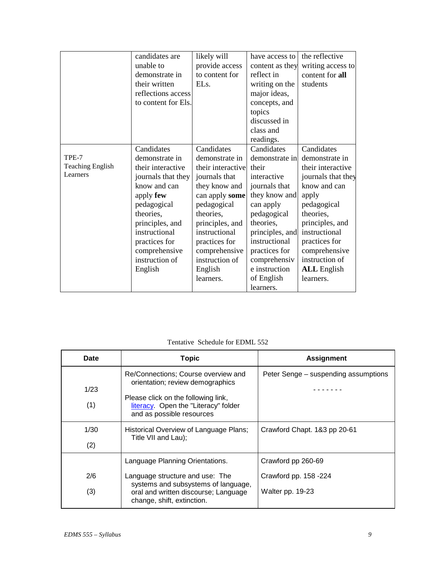|                         | candidates are<br>unable to<br>demonstrate in<br>their written<br>reflections access<br>to content for Els. | likely will<br>provide access<br>to content for<br>EL <sub>s</sub> . | have access to<br>content as they<br>reflect in<br>writing on the<br>major ideas,<br>concepts, and<br>topics<br>discussed in<br>class and | the reflective<br>writing access to<br>content for all<br>students |
|-------------------------|-------------------------------------------------------------------------------------------------------------|----------------------------------------------------------------------|-------------------------------------------------------------------------------------------------------------------------------------------|--------------------------------------------------------------------|
|                         |                                                                                                             |                                                                      | readings.                                                                                                                                 |                                                                    |
|                         | Candidates                                                                                                  | Candidates                                                           | Candidates                                                                                                                                | Candidates                                                         |
| TPE-7                   | demonstrate in                                                                                              | demonstrate in                                                       | demonstrate in                                                                                                                            | demonstrate in                                                     |
| <b>Teaching English</b> | their interactive                                                                                           | their interactive                                                    | their                                                                                                                                     | their interactive                                                  |
| Learners                | journals that they                                                                                          | journals that                                                        | interactive                                                                                                                               | journals that they                                                 |
|                         | know and can                                                                                                | they know and                                                        | journals that                                                                                                                             | know and can                                                       |
|                         | apply few                                                                                                   | can apply some                                                       | they know and                                                                                                                             | apply                                                              |
|                         | pedagogical                                                                                                 | pedagogical                                                          | can apply                                                                                                                                 | pedagogical                                                        |
|                         | theories,                                                                                                   | theories,                                                            | pedagogical                                                                                                                               | theories,                                                          |
|                         | principles, and                                                                                             | principles, and                                                      | theories,                                                                                                                                 | principles, and                                                    |
|                         | instructional                                                                                               | instructional                                                        | principles, and                                                                                                                           | instructional                                                      |
|                         | practices for                                                                                               | practices for                                                        | instructional                                                                                                                             | practices for                                                      |
|                         | comprehensive                                                                                               | comprehensive                                                        | practices for                                                                                                                             | comprehensive                                                      |
|                         | instruction of                                                                                              | instruction of                                                       | comprehensiv                                                                                                                              | instruction of                                                     |
|                         | English                                                                                                     | English                                                              | e instruction                                                                                                                             | <b>ALL</b> English                                                 |
|                         |                                                                                                             | learners.                                                            | of English                                                                                                                                | learners.                                                          |
|                         |                                                                                                             |                                                                      | learners.                                                                                                                                 |                                                                    |

## Tentative Schedule for EDML 552

| Date        | <b>Topic</b>                                                                                                                                                                        | <b>Assignment</b>                         |
|-------------|-------------------------------------------------------------------------------------------------------------------------------------------------------------------------------------|-------------------------------------------|
| 1/23<br>(1) | Re/Connections; Course overview and<br>orientation; review demographics<br>Please click on the following link,<br>literacy. Open the "Literacy" folder<br>and as possible resources | Peter Senge – suspending assumptions      |
| 1/30<br>(2) | Historical Overview of Language Plans;<br>Title VII and Lau);                                                                                                                       | Crawford Chapt. 1&3 pp 20-61              |
|             | Language Planning Orientations.                                                                                                                                                     | Crawford pp 260-69                        |
| 2/6<br>(3)  | Language structure and use: The<br>systems and subsystems of language,<br>oral and written discourse; Language<br>change, shift, extinction.                                        | Crawford pp. 158 -224<br>Walter pp. 19-23 |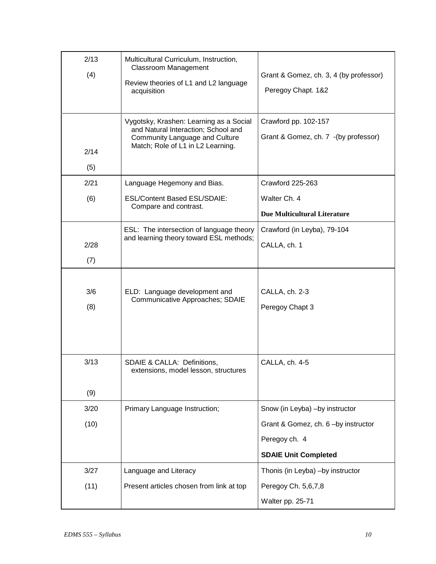| 2/13<br>(4) | Multicultural Curriculum, Instruction,<br><b>Classroom Management</b><br>Review theories of L1 and L2 language<br>acquisition<br>Vygotsky, Krashen: Learning as a Social<br>and Natural Interaction; School and<br>Community Language and Culture<br>Match; Role of L1 in L2 Learning. | Grant & Gomez, ch. 3, 4 (by professor)<br>Peregoy Chapt. 1&2<br>Crawford pp. 102-157<br>Grant & Gomez, ch. 7 - (by professor) |
|-------------|----------------------------------------------------------------------------------------------------------------------------------------------------------------------------------------------------------------------------------------------------------------------------------------|-------------------------------------------------------------------------------------------------------------------------------|
| 2/14<br>(5) |                                                                                                                                                                                                                                                                                        |                                                                                                                               |
| 2/21        | Language Hegemony and Bias.                                                                                                                                                                                                                                                            | Crawford 225-263                                                                                                              |
| (6)         | ESL/Content Based ESL/SDAIE:                                                                                                                                                                                                                                                           | Walter Ch. 4                                                                                                                  |
|             | Compare and contrast.                                                                                                                                                                                                                                                                  | <b>Due Multicultural Literature</b>                                                                                           |
|             | ESL: The intersection of language theory                                                                                                                                                                                                                                               | Crawford (in Leyba), 79-104                                                                                                   |
| 2/28        | and learning theory toward ESL methods;                                                                                                                                                                                                                                                | CALLA, ch. 1                                                                                                                  |
| (7)         |                                                                                                                                                                                                                                                                                        |                                                                                                                               |
| 3/6<br>(8)  | ELD: Language development and<br>Communicative Approaches; SDAIE                                                                                                                                                                                                                       | CALLA, ch. 2-3<br>Peregoy Chapt 3                                                                                             |
| 3/13<br>(9) | SDAIE & CALLA: Definitions,<br>extensions, model lesson, structures                                                                                                                                                                                                                    | CALLA, ch. 4-5                                                                                                                |
| 3/20        | Primary Language Instruction;                                                                                                                                                                                                                                                          | Snow (in Leyba) -by instructor                                                                                                |
| (10)        |                                                                                                                                                                                                                                                                                        | Grant & Gomez, ch. 6-by instructor                                                                                            |
|             |                                                                                                                                                                                                                                                                                        | Peregoy ch. 4                                                                                                                 |
|             |                                                                                                                                                                                                                                                                                        | <b>SDAIE Unit Completed</b>                                                                                                   |
| 3/27        | Language and Literacy                                                                                                                                                                                                                                                                  | Thonis (in Leyba) -by instructor                                                                                              |
| (11)        | Present articles chosen from link at top                                                                                                                                                                                                                                               | Peregoy Ch. 5,6,7,8                                                                                                           |
|             |                                                                                                                                                                                                                                                                                        | Walter pp. 25-71                                                                                                              |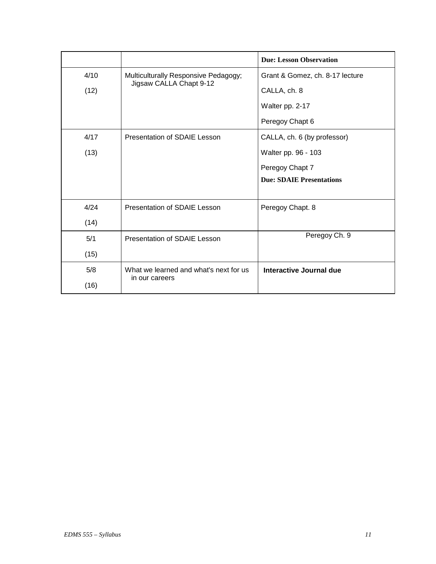|      |                                                                         | <b>Due: Lesson Observation</b>  |
|------|-------------------------------------------------------------------------|---------------------------------|
| 4/10 | Multiculturally Responsive Pedagogy;<br>Jigsaw CALLA Chapt 9-12<br>(12) | Grant & Gomez, ch. 8-17 lecture |
|      |                                                                         | CALLA, ch. 8                    |
|      |                                                                         | Walter pp. 2-17                 |
|      |                                                                         | Peregoy Chapt 6                 |
| 4/17 | Presentation of SDAIE Lesson                                            | CALLA, ch. 6 (by professor)     |
| (13) |                                                                         | Walter pp. 96 - 103             |
|      |                                                                         | Peregoy Chapt 7                 |
|      |                                                                         | <b>Due: SDAIE Presentations</b> |
|      |                                                                         |                                 |
| 4/24 | Presentation of SDAIE Lesson                                            | Peregoy Chapt. 8                |
| (14) |                                                                         |                                 |
| 5/1  | <b>Presentation of SDAIE Lesson</b>                                     | Peregoy Ch. 9                   |
| (15) |                                                                         |                                 |
| 5/8  | What we learned and what's next for us                                  | Interactive Journal due         |
| (16) | in our careers                                                          |                                 |